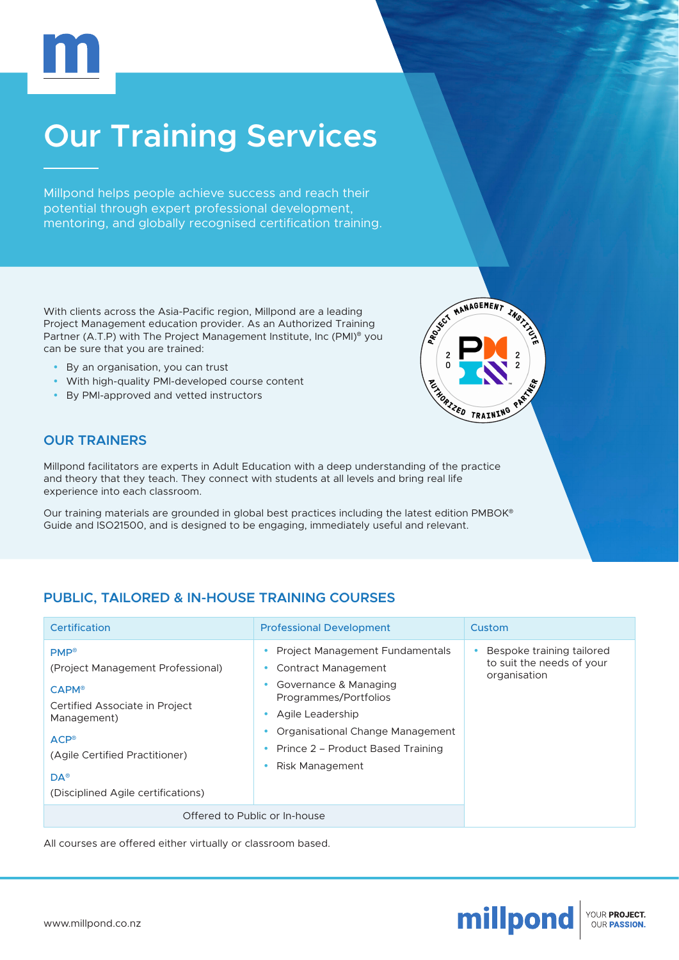

# **Our Training Services**

Millpond helps people achieve success and reach their potential through expert professional development, mentoring, and globally recognised certification training.

With clients across the Asia-Pacific region, Millpond are a leading Project Management education provider. As an Authorized Training Partner (A.T.P) with The Project Management Institute, Inc (PMI)® you can be sure that you are trained:

- By an organisation, you can trust
- With high-quality PMI-developed course content
- y By PMl-approved and vetted instructors



### **OUR TRAINERS**

Millpond facilitators are experts in Adult Education with a deep understanding of the practice and theory that they teach. They connect with students at all levels and bring real life experience into each classroom.

Our training materials are grounded in global best practices including the latest edition PMBOK® Guide and ISO21500, and is designed to be engaging, immediately useful and relevant.

# **PUBLIC, TAILORED & IN-HOUSE TRAINING COURSES**

| Certification                                                                                                                                                                                                                | <b>Professional Development</b>                                                                                                                                                                                          | Custom                                                                 |
|------------------------------------------------------------------------------------------------------------------------------------------------------------------------------------------------------------------------------|--------------------------------------------------------------------------------------------------------------------------------------------------------------------------------------------------------------------------|------------------------------------------------------------------------|
| <b>PMP®</b><br>(Project Management Professional)<br>$CAPM^{\circ}$<br>Certified Associate in Project<br>Management)<br>$ACP^{\circ}$<br>(Agile Certified Practitioner)<br>$DA^{\circ}$<br>(Disciplined Agile certifications) | Project Management Fundamentals<br>Contract Management<br>Governance & Managing<br>Programmes/Portfolios<br>Agile Leadership<br>Organisational Change Management<br>Prince 2 – Product Based Training<br>Risk Management | Bespoke training tailored<br>to suit the needs of your<br>organisation |
| Offered to Public or In-house                                                                                                                                                                                                |                                                                                                                                                                                                                          |                                                                        |

All courses are offered either virtually or classroom based.